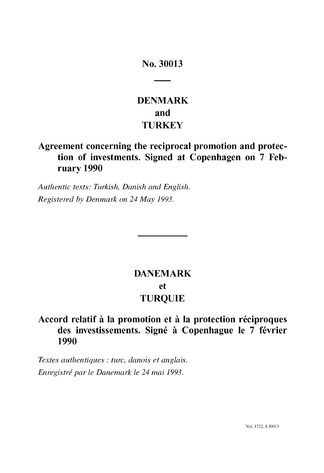### No. 30013

## **DENMARK and TURKEY**

### **Agreement concerning the reciprocal promotion and protection of investments. Signed at Copenhagen on 7 February 1990**

*Authentic texts: Turkish, Danish and English. Registered by Denmark on* 24 *May 1993.* 

# **DANEMARK et TURQUIE**

### **Accord relatif it la promotion et it la protection reciproques des investissements. Signe it Copenhague Ie 7 fevrier 1990**

*Textes authentiques* : *turc, danois et anglais. Enregistre par le Danemark le* 24 *mai 1993.*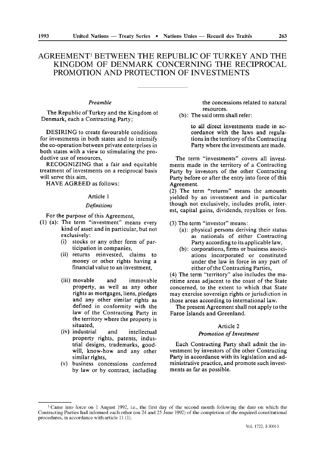### AGREEMENTI BETWEEN THE REPUBLIC OF TURKEY AND THE KINGDOM OF DENMARK CONCERNING THE RECIPROCAL PROMOTION AND PROTECTION OF INVESTMENTS

#### *Preamble*

The Republic of Turkey and the Kingdom of Denmark, each a Contracting Party;

DESIRING to create favourable conditions for investments in both states and to intensify the co-operation between private enterprises in both states with a view to stimulating the productive use of resources,

RECOGNIZING that a fair and equitable treatment of investments on a reciprocal basis will serve this aim,

HAVE AGREED as follows:

#### Article I

#### *Definitions*

For the purpose of this Agreement,

- (I) (a): The term "investment" means every kind of asset and in particular, but not exclusively:
	- (i) stocks or any other form of participation in companies,
	- (ii) returns reinvested, claims to money or other rights having a financial value to an investment,
	- (iii) movable and immovable property, as well as any other rights as mortgages, liens, pledges and any other similar rights as defined in conformity with the law of the Contracting Party in the territory where the property is situated,
	- (iv) industrial and intellectual property rights, patents, industrial designs, trademarks, goodwill, know-how and any other similar rights,
	- (v) business concessions conferred by law or by contract, including

the concessions related to natural resources.

(b): The said term shall refer:

to all direct investments made in accordance with the laws and regulations in the territory of the Contracting Party where the investments are made.

The term "investments" covers all investments made in the territory of a Contracting Party by investors of the other Contracting Party before or after the entry into force of this Agreement.

(2). The term "returns" means the amounts yielded by an investment and in particular though not exclusively, includes profit, interest, capital gains, dividends, royalties or fees.

(3) The term "investor" means:

- (a): physical persons deriving their status as nationals of either Contracting Party according to its applicable law,
- (b): corporations, firms or business associations incorporated or constituted under the law in force in any part of either of the Contracting Parties,

(4) The term "territory" also includes the maritime areas adjacent to the coast of the State concerned, to the extent to which that State may exercise sovereign rights or jurisdiction in those areas according to international law.

The present Agreement shall not apply to the Faroe Islands and Greenland.

#### Article 2

#### *Promotion of Investment*

Each Contracting Party shall admit the investment by investors of the other Contracting Party in accordance with its legislation and administrative practice, and promote such investments as far as possible.

<sup>&</sup>lt;sup>1</sup> Came into force on 1 August 1992, i.e., the first day of the second month following the date on which the Contracting Parties had informed each other (on 24 and 25 June 1992) of the completion of the required constitutional procedures, in accordance with article 11 (1).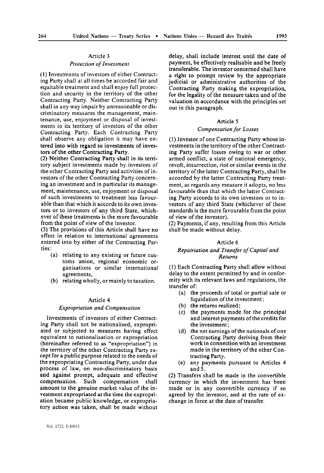#### Article 3

#### *Protection* 0/ *Investment*

(1) Investments of investors of either Contracting Party shall at all times be accorded fair and equitable treatment and shall enjoy full protection and security in the territory of the other Contracting Party. Neither Contracting Party shall in any way impair by unreasonable or discriminatory measures the management, maintenance, use, enjoyment or disposal of investments in its territory of investors of the other Contracting Party. Each Contracting Party shall observe any obligation it may have entered into with regard to investments of investors of the other Contracting Party.

(2) Neither Contracting Party shall in its territory subject investments made by investors of the other Contracting Party and activities of investors of the other Contracting Party concerning an investment and in particular its management, maintenance, use, enjoyment or disposal of such investments to treatment less favourable than that which it accords to its own investors or to investors of any third State, whichever of these treatments is the more favourable from the point of view of the investor.

(3) The provisions of this Article shall have no effect in relation to international agreements entered into by either of the Contracting Parties:

- (a) relating to any existing or future customs union, regional economic organisations or similar international agreements,
- (b) relating wholly, or mainly to taxation.

#### Article 4

#### *Expropriation and Compensation*

Investments of investors of either Contracting Party shall not be nationalised, expropriated or subjected to measures having effect equivalent to nationalisation or expropriation (hereinafter referred to as "expropriation") in the territory of the other Contracting Party except for a public purpose related to the needs of the expropriating Contracting Party, under due process of law, on non-discriminatory basis and against prompt, adequate and effective compensation. Such compensation shall amount to the genuine market value of the investment expropriated at the time the expropriation became public knowledge, or expropriatory action was taken, shall be made without

delay, shall include interest until the date of payment, be effectively realisable and be freely transferable. The investor concerned shall have a right to prompt review by the appropriate judicial or administrative authorities of the Contracting Party making the expropriation, for the legality of the measure taken and of the valuation in accordance with the principles set out in this paragraph.

#### Article 5

#### *Compensation/or Losses*

 $(1)$  Investor of one Contracting Party whose investments in the territory of the other Contracting Party suffer losses owing to war or other armed conflict, a state of national emergency, revolt, insurrection, riot or similar events in the territory of the latter Contracting Party, shall be accorded by the latter Contracting Party treatment, as regards any measure it adopts, no less favourable than that which the latter Contracting Party accords to its own investors or to investors of any third State (whichever of these standards is the more favourable from the point of view of the investor).

(2) Payments, if any, resulting from this Article shall be made without delay.

#### Article 6

#### *Repatriation and Trans/er of Capital and Returns*

(1) Each Contracting Party shall allow without delay to the extent permitted by and in conformity with its relevant laws and regulations, the transfer of:

- (a) the proceeds of total or partial sale or liquidation of the investment;
- (b) the returns realized;
- (c) the payments made for the principal and interest payments of the credits for the investment;
- (d) the net earnings of the nationals of one Contracting Party deriving from their work in connection with an investment made in the territory of the other Contracting Party.
- (e) any payments pursuant to Articles 4 and 5.

(2) Transfers shall be made in the convertible currency in which the investment has been made or in any convertible currency if so agreed by the investor, and at the rate of exchange in force at the date of transfer.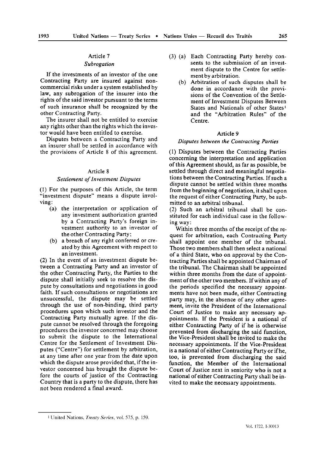### Article 7 *Subrogation*

If the investments of an investor of the one Contracting Party are insured against noncommercial risks under a system established by law, any subrogation of the insurer into the rights of the said investor pursuant to the terms of such insurance shall be recognized by the other Contracting Party.

The insurer shall not be entitled to exercise any rights other than the rights which the investor would have been entitled to exercise.

Disputes between a Contracting Party and an insurer shall be settled in accordance with the provisions of Article 8 of this agreement.

#### Article 8

#### *Settlement of Investment Disputes*

(I) For the purposes of this Article, the term "investment dispute" means a dispute involving:

- (a) the interpretation or application of any investment authorization granted by a Contracting Party's foreign investment authority to an investor of the other Contracting Party:
- (b) a breach of any right conferred or created by this Agreement with respect to an investment.

(2) In the event of an investment dispute between a Contracting Party and an investor of the other Contracting Party, the Parties to the dispute shall initially seek to resolve the dispute by consultations and negotiations in good faith. If such consultations or negotiations are unsuccessful, the dispute may be settled through the use of non-binding, third party procedures upon which such investor and the Contracting Party mutually agree. If the dispute cannot be resolved through the foregoing procedures the investor concerned may choose to submit the dispute to the International Centre for the Settlement of Investment Disputes ("Centre") for settlement by arbitration, at any time after one year from the date upon which the dispute arose provided that, if the investor concerned has brought the dispute before the courts of justice of the Contracting Country that is a party to the dispute, there has not been rendered a final award.

- (3) (a) Each Contracting Party hereby consents to the submission of an investment dispute to the Centre for settlement by arbitration.
	- (b) Arbitration of such disputes shall be done in accordance with the provisions of the Convention of the Settlement of Investment Disputes Between States and Nationals of other States<sup>1</sup> and the "Arbitration Rules" of the Centre.

#### Article 9

#### *Disputes between the Contracting Parties*

(I) Disputes between the Contracting Parties concerning the interpretation and application of this Agreement should, as far as possible, be settled through direct and meaningful negotiations between the Contracting Parties. If such a dispute cannot be settled within three months from the beginning of negotiation, it shall upon the request of either Contracting Party, be submitted to an arbitral tribunal.

(2) Such an arbitral tribunal shall be constituted for each individual case in the following way:

Within three months of the receipt of the request for arbitration, each Contracting Party shall appoint one member of the tribunal. Those two members shall then select a national of a third State, who on approval by the Contracting Parties shall be appointed Chairman of the tribunal. The Chairman shall be appointed within three months from the date of appointment of the other two members. If within any of the periods specified the necessary appointments have not been made, either Contracting party may, in the absence of any other agreement, invite the President of the International Court of Justice to make any necessary appointments. If the President is a national of either Contracting Party of if he is otherwise prevented from discharging the said function, the Vice-President shall be invited to make the necessary appointments. If the Vice-President is a national of either Contracting Party or ifhe, too, is prevented from discharging the said function, the Member of the International Court of Justice next in seniority who is not a national of either Contracting Party shall be invited to make the necessary appointments.

<sup>1</sup> United Nations, *Treaty Series,* vol. 575, p. 159.